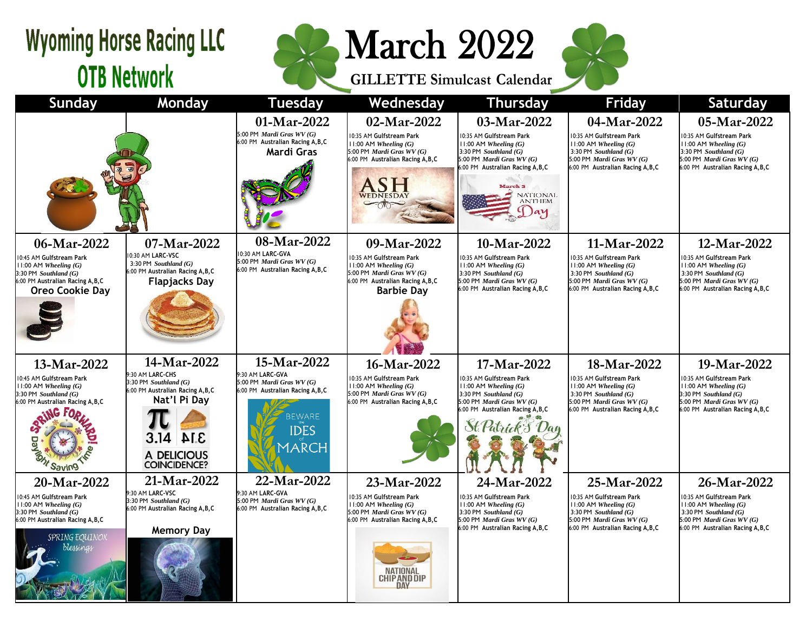## **Wyoming Horse Racing LLC OTB Network**



**GILLETTE Simulcast Calendar**



| <b>Sunday</b>                                                                                                                                     | Monday                                                                                                      | <b>Tuesday</b>                                                                      | Wednesday                                                                                                                                    | <b>Thursday</b>                                                                                                                                    | <b>Friday</b>                                                                                                                                               | Saturday                                                                                                                                           |
|---------------------------------------------------------------------------------------------------------------------------------------------------|-------------------------------------------------------------------------------------------------------------|-------------------------------------------------------------------------------------|----------------------------------------------------------------------------------------------------------------------------------------------|----------------------------------------------------------------------------------------------------------------------------------------------------|-------------------------------------------------------------------------------------------------------------------------------------------------------------|----------------------------------------------------------------------------------------------------------------------------------------------------|
|                                                                                                                                                   |                                                                                                             | 01-Mar-2022                                                                         | 02-Mar-2022                                                                                                                                  | 03-Mar-2022                                                                                                                                        | 04-Mar-2022                                                                                                                                                 | 05-Mar-2022                                                                                                                                        |
|                                                                                                                                                   |                                                                                                             | 5:00 PM Mardi Gras WV (G)<br>6:00 PM Australian Racing A, B, C<br>Mardi Gras        | 10:35 AM Gulfstream Park<br>$11:00$ AM Wheeling $(G)$<br>5:00 PM Mardi Gras WV (G)<br>6:00 PM Australian Racing A, B, C                      | 10:35 AM Gulfstream Park<br>$11:00$ AM Wheeling $(G)$<br>3:30 PM Southland $(G)$<br>5:00 PM Mardi Gras WV (G)<br>6:00 PM Australian Racing A, B, C | 10:35 AM Gulfstream Park<br>$11:00$ AM Wheeling $(G)$<br>3:30 PM Southland $(G)$<br>5:00 PM Mardi Gras WV (G)<br>6:00 PM Australian Racing A, B, C          | 10:35 AM Gulfstream Park<br>$1:00$ AM Wheeling $(G)$<br>3:30 PM Southland $(G)$<br>5:00 PM Mardi Gras WV (G)<br>6:00 PM Australian Racing A, B, C  |
|                                                                                                                                                   |                                                                                                             |                                                                                     | WEDNESDAY                                                                                                                                    | March 3<br><b>NATIONAL</b><br><b>ANTHEM</b><br>ay                                                                                                  |                                                                                                                                                             |                                                                                                                                                    |
| 06-Mar-2022                                                                                                                                       | 07-Mar-2022                                                                                                 | 08-Mar-2022                                                                         | 09-Mar-2022                                                                                                                                  | 10-Mar-2022                                                                                                                                        | 11-Mar-2022                                                                                                                                                 | 12-Mar-2022                                                                                                                                        |
| 10:45 AM Gulfstream Park<br>$11:00$ AM Wheeling $(G)$<br>$3:30$ PM Southland $(G)$<br>6:00 PM Australian Racing A, B, C<br><b>Oreo Cookie Day</b> | 10:30 AM LARC-VSC<br>$3:30$ PM Southland $(G)$<br>6:00 PM Australian Racing A, B, C<br><b>Flapjacks Day</b> | 10:30 AM LARC-GVA<br>5:00 PM Mardi Gras WV (G)<br>6:00 PM Australian Racing A, B, C | 10:35 AM Gulfstream Park<br>$11:00$ AM Wheeling $(G)$<br>5:00 PM Mardi Gras WV (G)<br>6:00 PM Australian Racing A, B, C<br><b>Barbie Dav</b> | 10:35 AM Gulfstream Park<br>$11:00$ AM Wheeling $(G)$<br>3:30 PM Southland $(G)$<br>5:00 PM Mardi Gras WV (G)<br>6:00 PM Australian Racing A, B, C | 10:35 AM Gulfstream Park<br>$11:00$ AM Wheeling $(G)$<br>3:30 PM Southland $(G)$<br>5:00 PM <i>Mardi Gras WV</i> $(G)$<br>6:00 PM Australian Racing A, B, C | 10:35 AM Gulfstream Park<br>$11:00$ AM Wheeling $(G)$<br>3:30 PM Southland $(G)$<br>5:00 PM Mardi Gras WV (G)<br>6:00 PM Australian Racing A, B, C |
|                                                                                                                                                   |                                                                                                             |                                                                                     |                                                                                                                                              |                                                                                                                                                    |                                                                                                                                                             |                                                                                                                                                    |
| 13-Mar-2022                                                                                                                                       | 14-Mar-2022                                                                                                 | 15-Mar-2022                                                                         | 16-Mar-2022                                                                                                                                  | 17-Mar-2022                                                                                                                                        | 18-Mar-2022                                                                                                                                                 | 19-Mar-2022                                                                                                                                        |
| 10:45 AM Gulfstream Park<br>$11:00$ AM Wheeling $(G)$<br>$3:30$ PM Southland $(G)$<br>6:00 PM Australian Racing A, B, C                           | 9:30 AM LARC-CHS<br>$3:30$ PM Southland $(G)$<br>6:00 PM Australian Racing A, B, C<br>Nat'l Pi Day          | 9:30 AM LARC-GVA<br>5:00 PM Mardi Gras WV (G)<br>6:00 PM Australian Racing A, B, C  | 10:35 AM Gulfstream Park<br>$11:00$ AM Wheeling $(G)$<br>5:00 PM Mardi Gras WV (G)<br>6:00 PM Australian Racing A, B, C                      | 10:35 AM Gulfstream Park<br>$11:00$ AM Wheeling $(G)$<br>$3:30$ PM Southland $(G)$<br>5:00 PM Mardi Gras WV (G)                                    | 10:35 AM Gulfstream Park<br>$11:00$ AM Wheeling $(G)$<br>3:30 PM Southland $(G)$<br>5:00 PM Mardi Gras WV (G)                                               | 10:35 AM Gulfstream Park<br>$1:00$ AM Wheeling $(G)$<br>3:30 PM Southland (G)<br>5:00 PM Mardi Gras WV (G)                                         |
|                                                                                                                                                   | 3.14                                                                                                        | <b>BEWARE</b><br><b>IDES</b>                                                        |                                                                                                                                              | 6:00 PM Australian Racing A, B, C                                                                                                                  | 6:00 PM Australian Racing A.B.C                                                                                                                             | 6:00 PM Australian Racing A.B.C                                                                                                                    |
| Tont Saving                                                                                                                                       | A DELICIOUS<br><b>COINCIDENCE?</b>                                                                          | MARCH                                                                               |                                                                                                                                              |                                                                                                                                                    |                                                                                                                                                             |                                                                                                                                                    |
| 20-Mar-2022                                                                                                                                       | 21-Mar-2022                                                                                                 | 22-Mar-2022                                                                         | 23-Mar-2022                                                                                                                                  | 24-Mar-2022                                                                                                                                        | 25-Mar-2022                                                                                                                                                 | 26-Mar-2022                                                                                                                                        |
| 10:45 AM Gulfstream Park<br>$11:00$ AM Wheeling $(G)$<br>$3:30$ PM Southland $(G)$<br>6:00 PM Australian Racing A, B, C                           | 9:30 AM LARC-VSC<br>3:30 PM Southland (G)<br>6:00 PM Australian Racing A, B, C<br><b>Memory Day</b>         | 9:30 AM LARC-GVA<br>5:00 PM Mardi Gras WV (G)<br>6:00 PM Australian Racing A, B, C  | 10:35 AM Gulfstream Park<br>$11:00$ AM Wheeling $(G)$<br>5:00 PM Mardi Gras WV (G)<br>6:00 PM Australian Racing A, B, C                      | 10:35 AM Gulfstream Park<br>$11:00$ AM Wheeling $(G)$<br>3:30 PM Southland $(G)$<br>5:00 PM Mardi Gras WV (G)<br>6:00 PM Australian Racing A, B, C | 10:35 AM Gulfstream Park<br>$11:00$ AM Wheeling $(G)$<br>3:30 PM Southland $(G)$<br>5:00 PM Mardi Gras WV (G)<br>6:00 PM Australian Racing A, B, C          | 10:35 AM Gulfstream Park<br>$11:00$ AM Wheeling $(G)$<br>3:30 PM Southland $(G)$<br>5:00 PM Mardi Gras WV (G)<br>6:00 PM Australian Racing A, B, C |
| SPRING EQUINOX<br>blessings                                                                                                                       |                                                                                                             |                                                                                     | NATIONAL<br><b>CHIPAND DIP</b><br><b>DAY</b>                                                                                                 |                                                                                                                                                    |                                                                                                                                                             |                                                                                                                                                    |